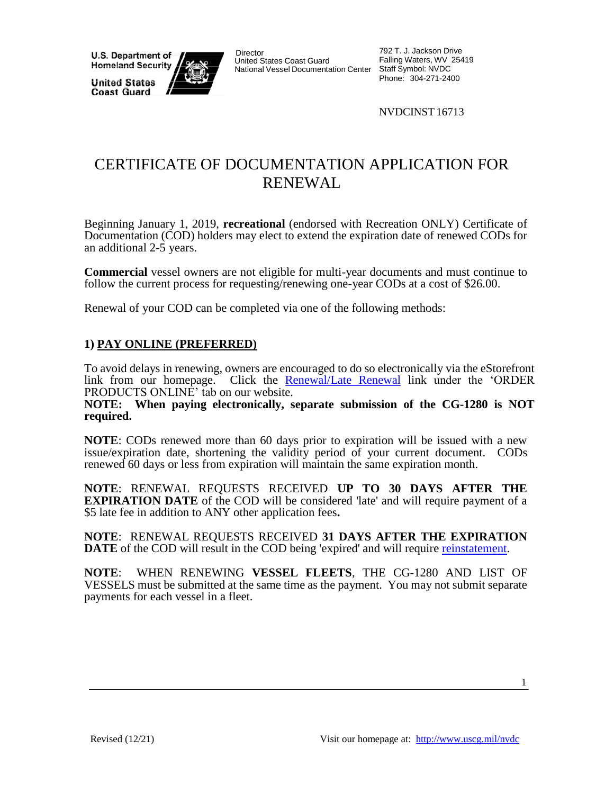**U.S. Department of Homeland Security** 

**United States Coast Guard** 



**Director** United States Coast Guard National Vessel Documentation Center

792 T. J. Jackson Drive Falling Waters, WV 25419 Staff Symbol: NVDC Phone: 304-271-2400

NVDCINST 16713

## CERTIFICATE OF DOCUMENTATION APPLICATION FOR RENEWAL

Beginning January 1, 2019, **recreational** (endorsed with Recreation ONLY) Certificate of Documentation (COD) holders may elect to extend the expiration date of renewed CODs for an additional 2-5 years.

**Commercial** vessel owners are not eligible for multi-year documents and must continue to follow the current process for requesting/renewing one-year CODs at a cost of \$26.00.

Renewal of your COD can be completed via one of the following methods:

## **1) PAY ONLINE (PREFERRED)**

To avoid delays in renewing, owners are encouraged to do so electronically via the eStorefront link from our homepage. Click the [Renewal/Late Renewal](http://www.uscg.mil/nvdc) link under the 'ORDER PRODUCTS ONLINE' tab on our website.

**NOTE: When paying electronically, separate submission of the CG-1280 is NOT required.**

**NOTE**: CODs renewed more than 60 days prior to expiration will be issued with a new issue/expiration date, shortening the validity period of your current document. CODs renewed 60 days or less from expiration will maintain the same expiration month.

**NOTE**: RENEWAL REQUESTS RECEIVED **UP TO 30 DAYS AFTER THE EXPIRATION DATE** of the COD will be considered 'late' and will require payment of a \$5 late fee in addition to ANY other application fees**.**

**NOTE**: RENEWAL REQUESTS RECEIVED **31 DAYS AFTER THE EXPIRATION DATE** of the COD will result in the COD being 'expired' and will require [reinstatement.](https://dco.uscg.afpims.mil/Portals/9/DCO%20Documents/NVDC/EXCHANGE_REINSTATEMENT_RETURN_TO_DOCUMENTATION_12-2021.pdf?ver=d4IBcFtTitBBt8dgxia6sw%3d%3d)

**NOTE**: WHEN RENEWING **VESSEL FLEETS**, THE CG-1280 AND LIST OF VESSELS must be submitted at the same time as the payment. You may not submit separate payments for each vessel in a fleet.

1